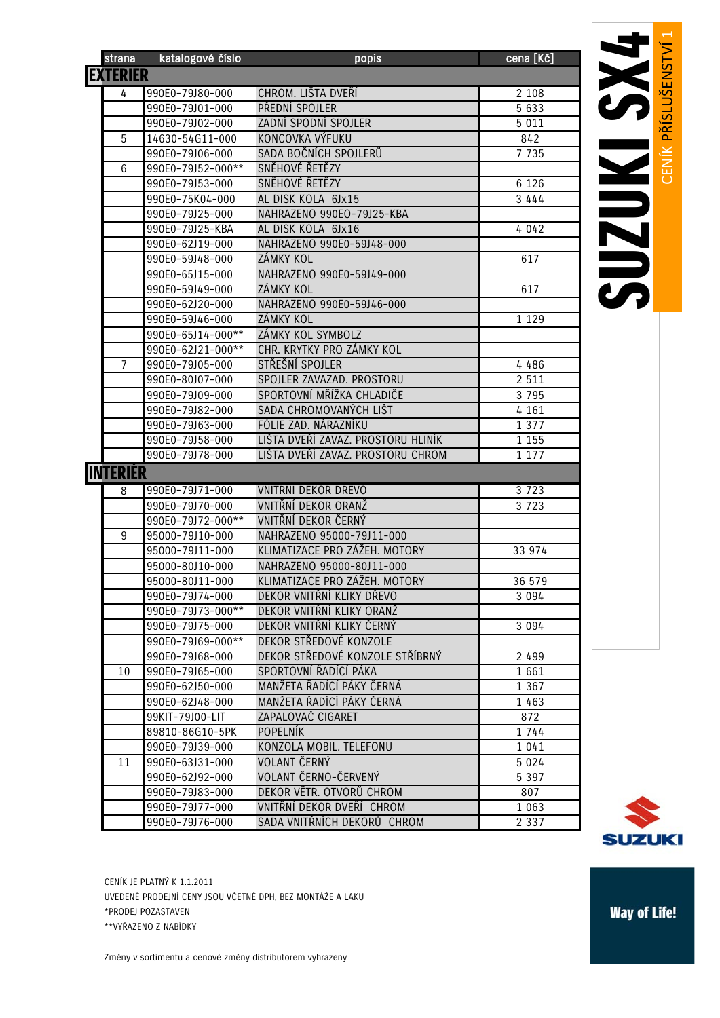| strana          | katalogové číslo  | popis                                                    | cena [Kč] |
|-----------------|-------------------|----------------------------------------------------------|-----------|
| <b>EXTERIÉR</b> |                   |                                                          |           |
| 4               | 990E0-79J80-000   | CHROM. LIŠTA DVEŘÍ                                       | 2 1 0 8   |
|                 | 990E0-79J01-000   | PŘEDNÍ SPOJLER                                           | 5 6 3 3   |
|                 | 990E0-79J02-000   | ZADNÍ SPODNÍ SPOJLER                                     | 5 0 1 1   |
| 5               | 14630-54G11-000   | KONCOVKA VÝFUKU                                          | 842       |
|                 | 990E0-79J06-000   | SADA BOČNÍCH SPOJLERŮ                                    | 7 7 3 5   |
| 6               | 990E0-79J52-000** | SNĚHOVÉ ŘETĚZY                                           |           |
|                 | 990E0-79J53-000   | SNĚHOVÉ ŘETĚZY                                           | 6 1 2 6   |
|                 | 990E0-75K04-000   | AL DISK KOLA 6Jx15                                       | 3 4 4 4   |
|                 | 990E0-79J25-000   | NAHRAZENO 990EO-79J25-KBA                                |           |
|                 | 990E0-79J25-KBA   | AL DISK KOLA 6Jx16                                       | 4 0 4 2   |
|                 | 990E0-62J19-000   | NAHRAZENO 990E0-59J48-000                                |           |
|                 | 990E0-59J48-000   | ZÁMKY KOL                                                | 617       |
|                 | 990E0-65J15-000   | NAHRAZENO 990E0-59J49-000                                |           |
|                 | 990E0-59J49-000   | ZÁMKY KOL                                                | 617       |
|                 | 990E0-62J20-000   | NAHRAZENO 990E0-59J46-000                                |           |
|                 | 990E0-59J46-000   | ZÁMKY KOL                                                | 1 1 2 9   |
|                 | 990E0-65J14-000** | ZÁMKY KOL SYMBOLZ                                        |           |
|                 | 990E0-62J21-000** | CHR. KRYTKY PRO ZÁMKY KOL                                |           |
| $\overline{7}$  | 990E0-79J05-000   | STŘEŠNÍ SPOJLER                                          | 4 486     |
|                 | 990E0-80J07-000   | SPOJLER ZAVAZAD. PROSTORU                                | 2 5 1 1   |
|                 | 990E0-79J09-000   | SPORTOVNÍ MŘÍŽKA CHLADIČE                                | 3 7 9 5   |
|                 | 990E0-79J82-000   | SADA CHROMOVANÝCH LIŠT                                   | 4 1 6 1   |
|                 | 990E0-79J63-000   | FÓLIE ZAD. NÁRAZNÍKU                                     | 1 3 7 7   |
|                 | 990E0-79J58-000   | LIŠTA DVEŘÍ ZAVAZ. PROSTORU HLINÍK                       | 1 1 5 5   |
|                 | 990E0-79J78-000   | LIŠTA DVEŘÍ ZAVAZ. PROSTORU CHROM                        | 1 1 7 7   |
| <b>INTERIER</b> |                   |                                                          |           |
| 8               | 990E0-79J71-000   | VNITŘNÍ DEKOR DŘEVO                                      | 3 7 2 3   |
|                 | 990E0-79J70-000   | VNITŘNÍ DEKOR ORANŽ                                      | 3 7 2 3   |
|                 | 990E0-79J72-000** | VNITŘNÍ DEKOR ČERNÝ                                      |           |
| 9               | 95000-79J10-000   | NAHRAZENO 95000-79J11-000                                |           |
|                 | 95000-79J11-000   | KLIMATIZACE PRO ZÁŽEH. MOTORY                            | 33 974    |
|                 | 95000-80J10-000   | NAHRAZENO 95000-80J11-000                                |           |
|                 | 95000-80J11-000   | KLIMATIZACE PRO ZÁŽEH. MOTORY                            | 36 579    |
|                 | 990E0-79J74-000   | DEKOR VNITŘNÍ KLIKY DŘEVO                                | 3 0 9 4   |
|                 | 990E0-79J73-000** | DEKOR VNITŘNÍ KLIKY ORANŽ                                |           |
|                 | 990E0-79J75-000   | DEKOR VNITŘNÍ KLIKY ČERNÝ                                | 3 0 9 4   |
|                 | 990E0-79J69-000** | DEKOR STŘEDOVÉ KONZOLE                                   |           |
|                 | 990E0-79J68-000   | DEKOR STŘEDOVÉ KONZOLE STŘÍBRNÝ                          | 2 4 9 9   |
| 10              | 990E0-79J65-000   | SPORTOVNÍ ŘADÍCÍ PÁKA                                    | 1 661     |
|                 | 990E0-62J50-000   | MANŽETA ŘADÍCÍ PÁKY ČERNÁ                                | 1 3 6 7   |
|                 | 990E0-62J48-000   | MANŽETA ŘADÍCÍ PÁKY ČERNÁ                                | 1 463     |
|                 | 99KIT-79J00-LIT   | ZAPALOVAČ CIGARET                                        | 872       |
|                 | 89810-86G10-5PK   | <b>POPELNÍK</b>                                          | 1 744     |
|                 | 990E0-79J39-000   | KONZOLA MOBIL. TELEFONU                                  | 1 0 4 1   |
| 11              | 990E0-63J31-000   | VOLANT ČERNÝ                                             | 5 0 2 4   |
|                 | 990E0-62J92-000   | VOLANT ČERNO-ČERVENÝ<br>DEKOR VĚTR. OTVORŮ CHROM         | 5 3 9 7   |
|                 | 990E0-79J83-000   |                                                          | 807       |
|                 | 990E0-79J77-000   | VNITŘNÍ DEKOR DVEŘÍ CHROM<br>SADA VNITŘNÍCH DEKORŮ CHROM | 1 0 6 3   |
|                 | 990E0-79J76-000   |                                                          | 2 3 3 7   |



CENÍK JE PLATNÝ K 1.1.2011 UVEDENÉ PRODEJNÍ CENY JSOU VČETNĚ DPH, BEZ MONTÁŽE A LAKU \*PRODEJ POZASTAVEN \*\*VYŘAZENO Z NABÍDKY

Změny v sortimentu a cenové změny distributorem vyhrazeny

## **Way of Life!**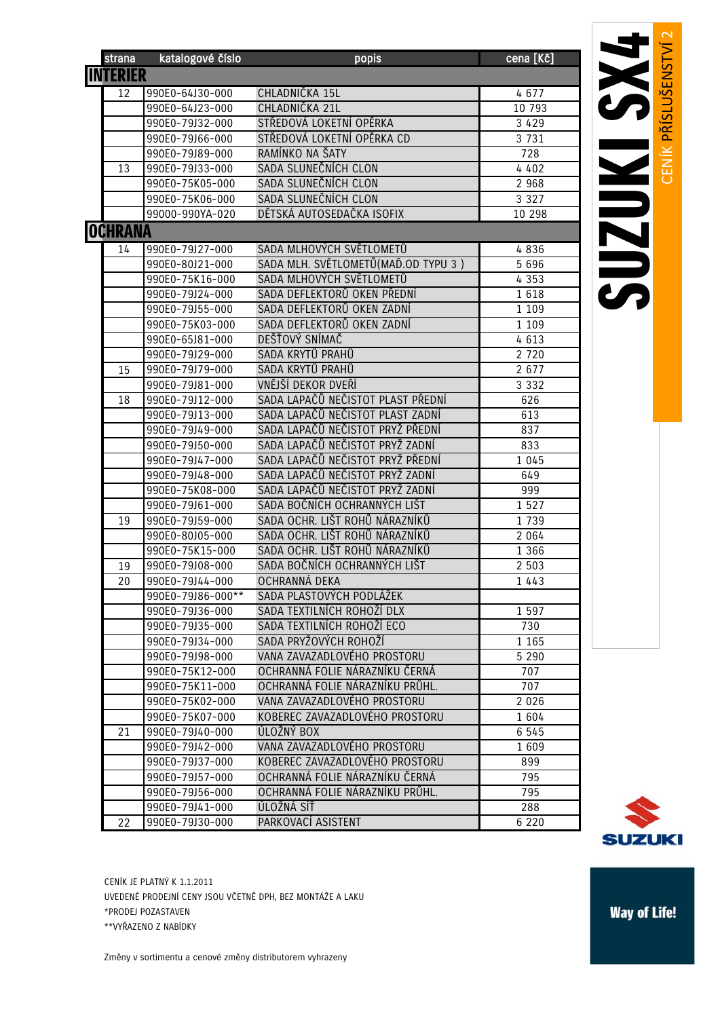| strana          | katalogové číslo                   | popis                                                    | cena [Kč]      |
|-----------------|------------------------------------|----------------------------------------------------------|----------------|
| <b>INTERIÉR</b> |                                    |                                                          |                |
| 12              | 990E0-64J30-000                    | CHLADNIČKA 15L                                           | 4677           |
|                 | 990E0-64J23-000                    | CHLADNIČKA 21L                                           | 10 793         |
|                 | 990E0-79J32-000                    | STŘEDOVÁ LOKETNÍ OPĚRKA                                  | 3 4 2 9        |
|                 | 990E0-79J66-000                    | STŘEDOVÁ LOKETNÍ OPĚRKA CD                               | 3 7 3 1        |
|                 | 990E0-79J89-000                    | RAMÍNKO NA ŠATY                                          | 728            |
| 13              | 990E0-79J33-000                    | SADA SLUNEČNÍCH CLON                                     | 4 4 0 2        |
|                 | 990E0-75K05-000                    | SADA SLUNEČNÍCH CLON                                     | 2 9 6 8        |
|                 | 990E0-75K06-000                    | SADA SLUNEČNÍCH CLON                                     | 3 3 2 7        |
|                 | 99000-990YA-020                    | DĚTSKÁ AUTOSEDAČKA ISOFIX                                | 10 298         |
| <b>OCHRANA</b>  |                                    |                                                          |                |
| 14              | 990E0-79J27-000                    | SADA MLHOVÝCH SVĚTLOMETŮ                                 | 4836           |
|                 | 990E0-80J21-000                    | SADA MLH. SVĚTLOMETŮ (MAĎ.OD TYPU 3)                     | 5 6 9 6        |
|                 | 990E0-75K16-000                    | SADA MLHOVÝCH SVĚTLOMETŮ                                 | 4 3 5 3        |
|                 | 990E0-79J24-000                    | SADA DEFLEKTORŮ OKEN PŘEDNÍ                              | 1618           |
|                 | 990E0-79J55-000                    | SADA DEFLEKTORŮ OKEN ZADNÍ                               | 1 1 0 9        |
|                 | 990E0-75K03-000                    | SADA DEFLEKTORŮ OKEN ZADNÍ                               | 1 1 0 9        |
|                 | 990E0-65J81-000                    | DEŠŤOVÝ SNÍMAČ                                           | 4 6 1 3        |
|                 | 990E0-79J29-000                    | SADA KRYTŮ PRAHŮ                                         | 2 7 2 0        |
| 15              | 990E0-79J79-000                    | SADA KRYTŮ PRAHŮ                                         | 2 6 7 7        |
|                 | 990E0-79J81-000                    | VNĚJŠÍ DEKOR DVEŘÍ                                       | 3 3 3 2        |
| 18              | 990E0-79J12-000                    | SADA LAPAČŮ NEČISTOT PLAST PŘEDNÍ                        | 626            |
|                 | 990E0-79J13-000                    | SADA LAPAČŮ NEČISTOT PLAST ZADNÍ                         | 613            |
|                 | 990E0-79J49-000                    | SADA LAPAČŮ NEČISTOT PRYŽ PŘEDNÍ                         | 837            |
|                 | 990E0-79J50-000                    | SADA LAPAČŮ NEČISTOT PRYŽ ZADNÍ                          | 833            |
|                 | 990E0-79J47-000                    | SADA LAPAČŮ NEČISTOT PRYŽ PŘEDNÍ                         | 1 0 4 5        |
|                 | 990E0-79J48-000                    | SADA LAPAČŮ NEČISTOT PRYŽ ZADNÍ                          | 649            |
|                 | 990E0-75K08-000                    | SADA LAPAČŮ NEČISTOT PRYŽ ZADNÍ                          | 999            |
|                 | 990E0-79J61-000                    | SADA BOČNÍCH OCHRANNÝCH LIŠT                             | 1527           |
| 19              | 990E0-79J59-000                    | SADA OCHR. LIŠT ROHŮ NÁRAZNÍKŮ                           | 1 7 3 9        |
|                 | 990E0-80J05-000                    | SADA OCHR. LIŠT ROHŮ NÁRAZNÍKŮ                           | 2 0 6 4        |
|                 | 990E0-75K15-000                    | SADA OCHR. LIŠT ROHŮ NÁRAZNÍKŮ                           | 1 3 6 6        |
| 19              | 990E0-79J08-000                    | SADA BOČNÍCH OCHRANNÝCH LIŠT                             | 2 5 0 3        |
| 20              | 990E0-79J44-000                    | OCHRANNÁ DEKA                                            | 1 4 4 3        |
|                 | 990E0-79J86-000**                  | SADA PLASTOVÝCH PODLÁŽEK                                 |                |
|                 | 990E0-79J36-000                    | SADA TEXTILNÍCH ROHOŽÍ DLX<br>SADA TEXTILNÍCH ROHOŽÍ ECO | 1 5 9 7        |
|                 | 990E0-79J35-000<br>990E0-79J34-000 | SADA PRYŽOVÝCH ROHOŽÍ                                    | 730<br>1 1 6 5 |
|                 | 990E0-79J98-000                    | VANA ZAVAZADLOVÉHO PROSTORU                              | 5 2 9 0        |
|                 | 990E0-75K12-000                    | OCHRANNÁ FOLIE NÁRAZNÍKU ČERNÁ                           | 707            |
|                 | 990E0-75K11-000                    | OCHRANNÁ FOLIE NÁRAZNÍKU PRŮHL.                          | 707            |
|                 | 990E0-75K02-000                    | VANA ZAVAZADLOVÉHO PROSTORU                              | 2 0 2 6        |
|                 | 990E0-75K07-000                    | KOBEREC ZAVAZADLOVÉHO PROSTORU                           | 1 604          |
| 21              | 990E0-79J40-000                    | ÚLOŽNÝ BOX                                               | 6 5 4 5        |
|                 | 990E0-79J42-000                    | VANA ZAVAZADLOVÉHO PROSTORU                              | 1609           |
|                 | 990E0-79J37-000                    | KOBEREC ZAVAZADLOVÉHO PROSTORU                           | 899            |
|                 | 990E0-79J57-000                    | OCHRANNÁ FOLIE NÁRAZNÍKU ČERNÁ                           | 795            |
|                 | 990E0-79J56-000                    | OCHRANNÁ FOLIE NÁRAZNÍKU PRŮHL.                          | 795            |
|                 | 990E0-79J41-000                    | ÚLOŽNÁ SÍŤ                                               | 288            |
| 22              | 990E0-79J30-000                    | PARKOVACÍ ASISTENT                                       | 6 2 2 0        |
|                 |                                    |                                                          |                |

**SUZUKI** 

CENÍK JE PLATNÝ K 1.1.2011 UVEDENÉ PRODEJNÍ CENY JSOU VČETNĚ DPH, BEZ MONTÁŽE A LAKU \*PRODEJ POZASTAVEN \*\*VYŘAZENO Z NABÍDKY

Změny v sortimentu a cenové změny distributorem vyhrazeny